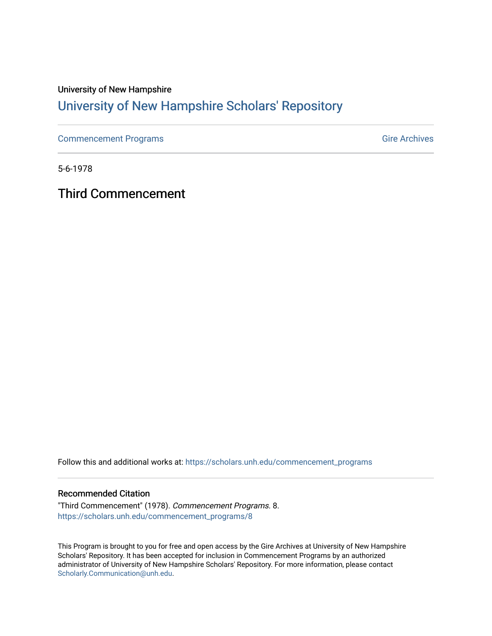### University of New Hampshire [University of New Hampshire Scholars' Repository](https://scholars.unh.edu/)

[Commencement Programs](https://scholars.unh.edu/commencement_programs) Gire Archives

5-6-1978

Third Commencement

Follow this and additional works at: [https://scholars.unh.edu/commencement\\_programs](https://scholars.unh.edu/commencement_programs?utm_source=scholars.unh.edu%2Fcommencement_programs%2F8&utm_medium=PDF&utm_campaign=PDFCoverPages) 

#### Recommended Citation

"Third Commencement" (1978). Commencement Programs. 8. [https://scholars.unh.edu/commencement\\_programs/8](https://scholars.unh.edu/commencement_programs/8?utm_source=scholars.unh.edu%2Fcommencement_programs%2F8&utm_medium=PDF&utm_campaign=PDFCoverPages)

This Program is brought to you for free and open access by the Gire Archives at University of New Hampshire Scholars' Repository. It has been accepted for inclusion in Commencement Programs by an authorized administrator of University of New Hampshire Scholars' Repository. For more information, please contact [Scholarly.Communication@unh.edu](mailto:Scholarly.Communication@unh.edu).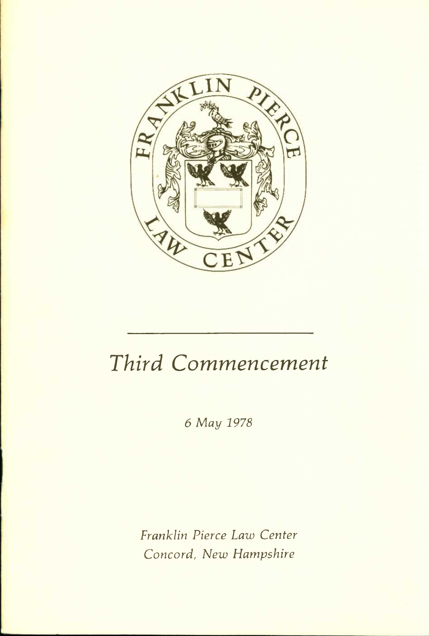

# *Third Commencement*

*6 May 1978* 

*Franklin Pierce Law Center Concord, New Hampshire*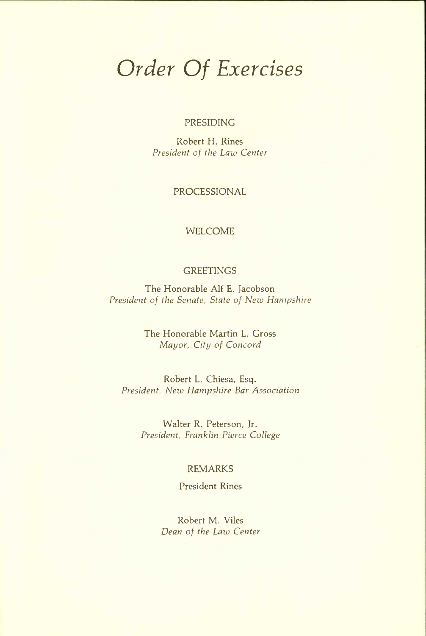# *Order Of Exercises*

#### PRESIDING

Robert H. Rines *President of the Law Center* 

PROCESSIONAL

#### WELCOME

#### **GREETINGS**

The Honorable Alf E. Jacobson *President of the Senate, State of New Hampshire* 

> The Honorable Martin L. Gross *Mayor, City of Concord*

Robert L. Chiesa, Esq. *President, New Hampshire Bar Association* 

> Walter R. Peterson, Jr. *President, Franklin Pierce College*

#### REMARKS

President Rines

Robert M. Viles *Dean of the Law Center*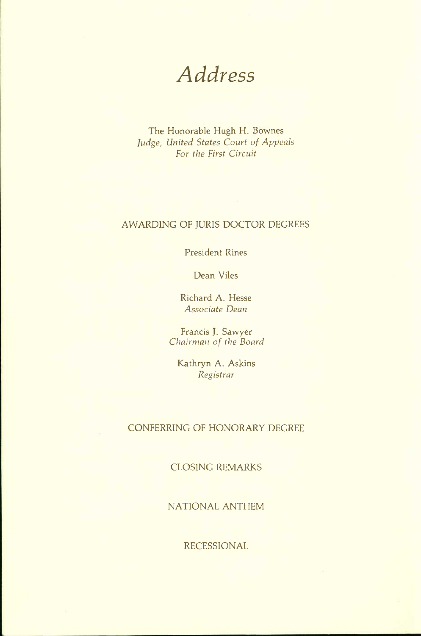*Address* 

The Honorable Hugh H. Bownes *Judge, United States Court of Appeals For the First Circuit* 

#### AWARDING OF JURIS DOCTOR DEGREES

President Rines

Dean Viles

Richard A. Hesse *Associate Dean* 

Francis J. Sawyer *Chairman of the Board* 

Kathryn A. Askins *Registrar* 

#### CONFERRING OF HONORARY DEGREE

CLOSING REMARKS

NATIONAL ANTHEM

RECESSIONAL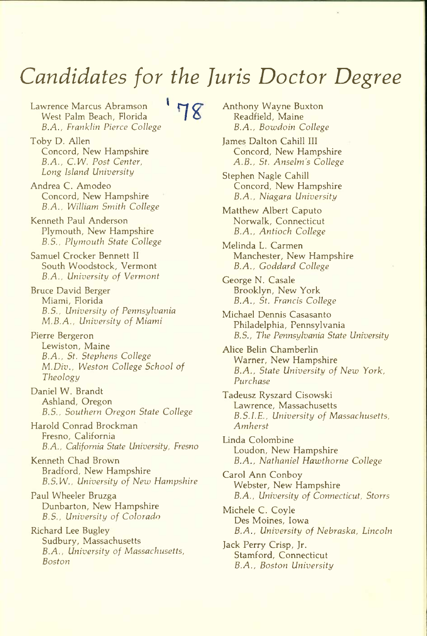# *Candidates for the Juris Doctor Degree*

Lawrence Marcus Abramson<br>Mont Palm Beach Florida West Palm Beach, Florida *B.A., Franklin Pierce College* 

Toby D. Allen Concord, New Hampshire *B.A., C.W. Post Center, Long Island University* 

Andrea C. Amodeo Concord, New Hampshire *B.A., William Smith College* 

Kenneth Paul Anderson Plymouth, New Hampshire *B.S., Plymouth State College* 

Samuel Crocker Bennett II South Woodstock, Vermont *B.A., University of Vermont* 

Bruce David Berger Miami, Florida *B.S., University of Pennsylvania M.B.A., University of Miami* 

Pierre Bergeron Lewiston, Maine *B.A., St. Stephens College M.Div., Weston College School of Theology* 

Daniel W. Brandt Ashland, Oregon *B.S., Southern Oregon State College* 

Harold Conrad Brockman Fresno, California *B.A., California State University, Fresno* 

Kenneth Chad Brown Bradford, New Hampshire *B.S.W., University of New Hampshire* 

Paul Wheeler Bruzga Dunbarton, New Hampshire *B.S., University of Colorado* 

Richard Lee Bugley Sudbury, Massachusetts *B.A., University of Massachusetts, Boston* 

Anthony Wayne Buxton Readfield, Maine *B.A., Bowdoin College* 

James Dalton Cahill III Concord, New Hampshire *A.B., St. Anselm's College* 

Stephen Nagle Cahill Concord, New Hampshire *B.A., Niagara University* 

Matthew Albert Caputo Norwalk, Connecticut *B.A., Antioch College* 

Melinda L. Carmen Manchester, New Hampshire *B.A., Goddard College* 

George N. Casale Brooklyn, New York *B.A., St. Francis College* 

Michael Dennis Casasanto Philadelphia, Pennsylvania *B.S., The Pennsylvania State University* 

Alice Belin Chamberlin Warner, New Hampshire *B.A., State University of New York, Purchase* 

Tadeusz Ryszard Cisowski Lawrence, Massachusetts *B.S.LE., University of Massachusetts, Amherst* 

Linda Colombine Loudon, New Hampshire *B.A., Nathaniel Hawthorne College* 

Carol Ann Conboy Webster, New Hampshire *B.A., University of Connecticut, Storrs* 

Michele C. Coyle Des Moines, Iowa *B.A., University of Nebraska, Lincoln* 

Jack Perry Crisp, Jr. Stamford, Connecticut *B.A., Boston University*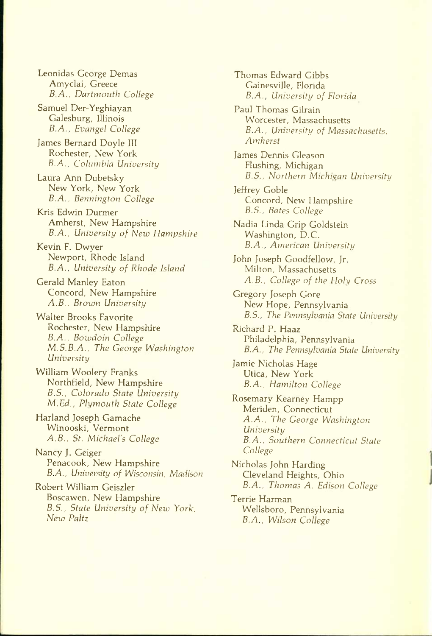Leonidas George Demas Amyclai, Greece *B.A., Dartmouth College* 

Samuel Der-Yeghiayan Galesburg, Illinois *B.A., Evangel College* 

James Bernard Doyle III Rochester, New York *B.A., Columbia University* 

Laura Ann Dubetsky New York, New York *B.A., Bennington College* 

Kris Edwin Durmer Amherst, New Hampshire *B.A., University of New Hampshire* 

Kevin F. Dwyer Newport, Rhode Island *B.A., University of Rhode Island* 

Gerald Manley Eaton Concord, New Hampshire *A.B., Brown University* 

Walter Brooks Favorite Rochester, New Hampshire *B.A., Bowdoin College M.S.B.A., The George Washington University* 

William Woolery Franks Northfield, New Hampshire *B.5., Colorado State University M.Ed., Plymouth State College* 

Harland Joseph Gamache Winooski, Vermont *A.B., St. Michael's College* 

Nancy J. Geiger Penacook, New Hampshire *B.A., University of Wisconsin, Madison* 

Robert William Geiszler Boscawen, New Hampshire *B.S., State University of New York, New Paltz* 

Thomas Edward Gibbs Gainesville, Florida *B.A., University of Florida*  Paul Thomas Gilrain Worcester, Massachusetts *B.A., University of Massachusetts, Amherst*  James Dennis Gleason Flushing, Michigan *B.S., Northern Michigan University*  Jeffrey Goble Concord, New Hampshire *B.S., Bates College*  Nadia Linda Grip Goldstein Washington, D.C. *B.A., American University*  John Joseph Goodfellow, Jr. Milton, Massachusetts *A.B., College of the Holy Cross*  Gregory Joseph Gore New Hope, Pennsylvania *B.S., The Pennsylvania State University*  Richard P. Haaz Philadelphia, Pennsylvania *B.A., The Pennsylvania State University*  Jamie Nicholas Hage Utica, New York *B.A., Hamilton College*  Rosemary Kearney Hampp Meriden, Connecticut *A.A., The George Washington University B.A., Southern Connecticut State College* 

Nicholas John Harding Cleveland Heights, Ohio *B.A., Thomas A. Edison College* 

Terrie Harman Wellsboro, Pennsylvania *B.A., Wilson College*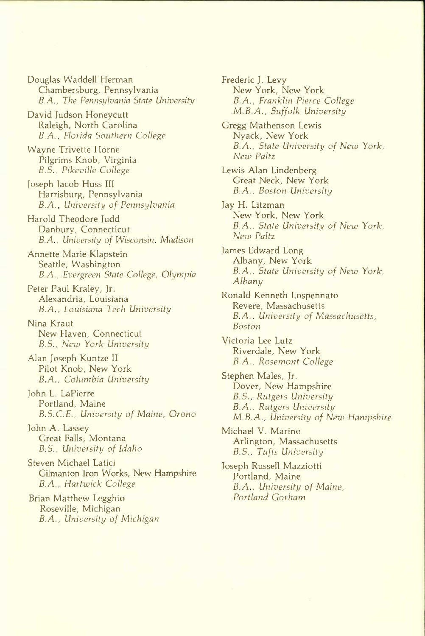Douglas Waddell Herman Chambersburg, Pennsylvania *B.A., The Pennsylvania State University* 

- David Judson Honeycutt Raleigh, North Carolina *B.A., Florida Southern College*
- Wayne Trivette Home Pilgrims Knob, Virginia *B.S., Pikeville College*
- Joseph Jacob Huss III Harrisburg, Pennsylvania *B.A., University of Pennsylvania*
- Harold Theodore Judd Danbury, Connecticut *B.A., University of Wisconsin, Madison*
- Annette Marie Klapstein Seattle, Washington *B.A., Evergreen State College, Olympia*
- Peter Paul Kraley, Jr. Alexandria, Louisiana *B.A., Louisiana Tech University*
- Nina Kraut New Haven, Connecticut *B.S., New York University*
- Alan Joseph Kuntze II Pilot Knob, New York *B.A., Columbia University*
- John L. LaPierre Portland, Maine *B.S.C.E., University of Maine, Orono*
- John A. Lassey Great Falls, Montana *B.S., University of Idaho*
- Steven Michael Latici Gilmanton Iron Works, New Hampshire *B.A., Hartwick College*
- Brian Matthew Legghio Roseville, Michigan *B.A., University of Michigan*
- Frederic J. Levy New York, New York *B.A., Franklin Pierce College M.B.A., Suffolk University*
- Gregg Mathenson Lewis Nyack, New York *B.A., State University of New York, New Paltz*
- Lewis Alan Lindenberg Great Neck, New York *B.A., Boston University*
- Jay H. Litzman New York, New York *B.A., State University of New York, New Paltz*
- James Edward Long Albany, New York *B.A., State University of New York, Albany*
- Ronald Kenneth Lospennato Revere, Massachusetts *B.A., University of Massachusetts, Boston*
- Victoria Lee Lutz Riverdale, New York *B.A., Rosemont College*
- Stephen Males, Jr. Dover, New Hampshire *B.S., Rutgers University B.A., Rutgers University M.B.A., University of New Hampshire*
- Michael V. Marino Arlington, Massachusetts *B.S., Tufts University*
- Joseph Russell Mazziotti Portland, Maine *B.A., University of Maine, Portland-Gorham*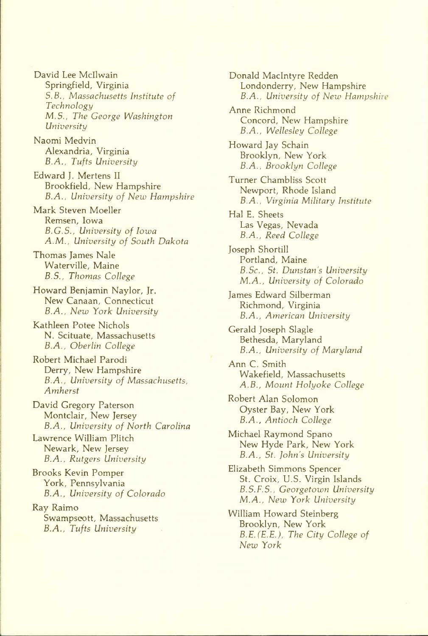David Lee Mcllwain Springfield, Virginia *S.B., Massachusetts Institute of Technology M.S., The George Washington University* 

Naomi Medvin Alexandria, Virginia *B.A., Tufts University* 

Edward J. Mertens II Brookfield, New Hampshire *B.A., University of New Hampshire* 

Mark Steven Moeller Remsen, Iowa *B.G.S., University of Iowa A.M., University of South Dakota* 

Thomas James Nale Waterville, Maine *B.S., Thomas College* 

Howard Benjamin Naylor, Jr. New Canaan, Connecticut *B.A., New York University* 

Kathleen Potee Nichols N. Scituate, Massachusetts *B.A., Oberlin College* 

Robert Michael Parodi Derry, New Hampshire *B.A., University of Massachusetts, Amherst* 

David Gregory Paterson Montclair, New Jersey *B.A., University of North Carolina* 

Lawrence William Plitch Newark, New Jersey *B.A., Rutgers University* 

Brooks Kevin Pomper York, Pennsylvania *B.A., University of Colorado* 

Ray Raimo Swampscott, Massachusetts *B.A., Tufts University* 

Donald Maclntyre Redden Londonderry, New Hampshire *B.A., University of New Hampshire* 

Anne Richmond Concord, New Hampshire *B.A., Wellesley College* 

Howard Jay Schain Brooklyn, New York *B.A., Brooklyn College* 

Turner Chambliss Scott Newport, Rhode Island *B.A., Virginia Military Institute* 

Hal E. Sheets Las Vegas, Nevada *B.A., Reed College* 

Joseph Shortill Portland, Maine *B.Sc., St. Dunstan's University M.A., University of Colorado* 

James Edward Silberman Richmond, Virginia *B.A., American University* 

Gerald Joseph Slagle Bethesda, Maryland *B.A., University of Maryland* 

Ann C. Smith Wakefield, Massachusetts *A.B., Mount Holyoke College* 

Robert Alan Solomon Oyster Bay, New York *B.A., Antioch College* 

Michael Raymond Spano New Hyde Park, New York *B.A., St. John's University* 

Elizabeth Simmons Spencer St. Croix, U.S. Virgin Islands *B.S.F.S., Georgetown University M.A., New York University* 

William Howard Steinberg Brooklyn, New York *B.E. (E.E.), The City College of New York*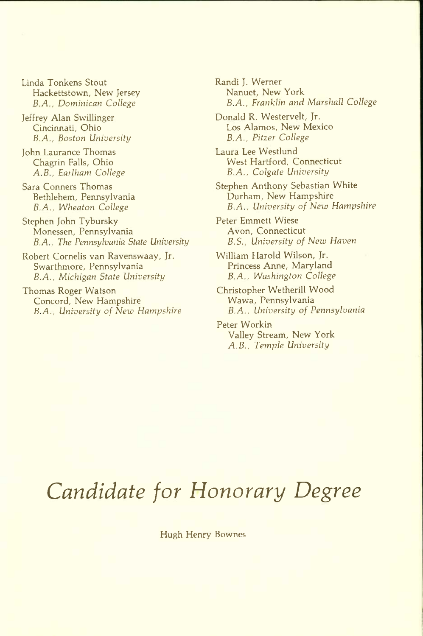Linda Tonkens Stout Hackettstown, New Jersey *B.A., Dominican College* 

Jeffrey Alan Swillinger Cincinnati, Ohio *B.A., Boston University* 

John Laurance Thomas Chagrin Falls, Ohio *A.B., Earlham College* 

Sara Conners Thomas Bethlehem, Pennsylvania *B.A., Wheaton College* 

Stephen John Tybursky Monessen, Pennsylvania *B.A., The Pennsylvania State University* 

Robert Cornelis van Ravenswaay, Jr. Swarthmore, Pennsylvania *B.A., Michigan State University* 

Thomas Roger Watson Concord, New Hampshire *B.A., University of New Hampshire*  Randi J. Werner Nanuet, New York *B.A., Franklin and Marshall College* 

Donald R. Westervelt, Jr. Los Alamos, New Mexico *B.A., Pitzer College* 

Laura Lee Westlund West Hartford, Connecticut *B.A., Colgate University* 

Stephen Anthony Sebastian White Durham, New Hampshire *B.A., University of New Hampshire* 

Peter Emmett Wiese Avon, Connecticut *B.S., University of New Haven* 

William Harold Wilson, Jr. Princess Anne, Maryland *B.A., Washington College* 

Christopher Wetherill Wood Wawa, Pennsylvania *B.A., University of Pennsylvania* 

Peter Workin Valley Stream, New York *A.B., Temple University* 

# *Candidate for Honorary Degree*

Hugh Henry Bownes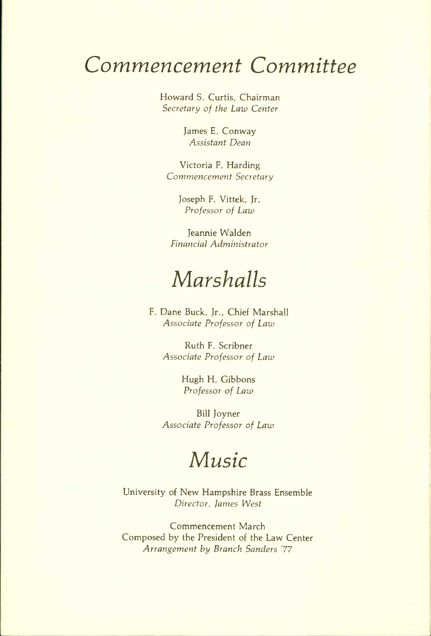### *Commencement Committee*

Howard S. Curtis, Chairman *Secretary of the Law Center* 

> James E. Conway *Assistant Dean*

Victoria F. Harding *Commencement Secretary* 

> Joseph F. Vittek, Jr. *Professor of Law*

Jeannie Walden *Financial Administrator* 

## *Marshalls*

F. Dane Buck, Jr., Chief Marshall *Associate Professor of Law* 

Ruth F. Scribner *Associate Professor of Law* 

> Hugh H. Gibbons *Professor of Law*

Bill Joyner *Associate Professor of Law* 

### *Music*

University of New Hampshire Brass Ensemble *Director, fames \Nest* 

Commencement March Composed by the President of the Law Center *Arrangement by Branch Sanders '77*